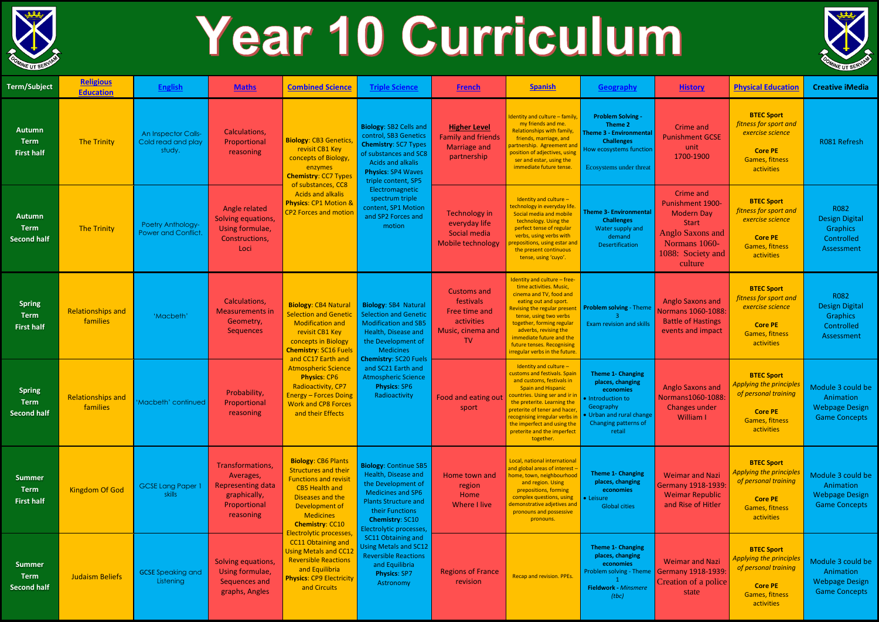

## Year 10 Curriculum

| <b>Term/Subject</b>                                | <b>Religious</b><br><b>Education</b> | <b>English</b>                                             | <b>Maths</b>                                                                                           | <b>Combined Science</b>                                                                                                                                                                                                                                                                                                                                                                            | <b>Triple Science</b>                                                                                                                                                                                                                                                                                                                                   | <b>French</b>                                                                                    | <b>Spanish</b>                                                                                                                                                                                                                                                                                                                    | Geography                                                                                                                                                 | <b>History</b>                                                                                                                                        | <b>Physical Education</b>                                                                                                     | <b>Creative iMedia</b>                                                          |
|----------------------------------------------------|--------------------------------------|------------------------------------------------------------|--------------------------------------------------------------------------------------------------------|----------------------------------------------------------------------------------------------------------------------------------------------------------------------------------------------------------------------------------------------------------------------------------------------------------------------------------------------------------------------------------------------------|---------------------------------------------------------------------------------------------------------------------------------------------------------------------------------------------------------------------------------------------------------------------------------------------------------------------------------------------------------|--------------------------------------------------------------------------------------------------|-----------------------------------------------------------------------------------------------------------------------------------------------------------------------------------------------------------------------------------------------------------------------------------------------------------------------------------|-----------------------------------------------------------------------------------------------------------------------------------------------------------|-------------------------------------------------------------------------------------------------------------------------------------------------------|-------------------------------------------------------------------------------------------------------------------------------|---------------------------------------------------------------------------------|
| <b>Autumn</b><br><b>Term</b><br><b>First half</b>  | The Trinity                          | <b>An Inspector Calls-</b><br>Cold read and play<br>study. | Calculations,<br>Proportional<br>reasoning                                                             | <b>Biology: CB3 Genetics,</b><br>revisit CB1 Key<br>concepts of Biology,<br>enzymes<br><b>Chemistry: CC7 Types</b><br>of substances, CC8<br><b>Acids and alkalis</b><br><b>Physics: CP1 Motion &amp;</b><br><b>CP2 Forces and motion</b>                                                                                                                                                           | <b>Biology: SB2 Cells and</b><br>control, SB3 Genetics<br><b>Chemistry: SC7 Types</b><br>of substances and SC8<br>Acids and alkalis<br><b>Physics: SP4 Waves</b><br>triple content, SP5<br>Electromagnetic<br>spectrum triple<br>content, SP1 Motion<br>and SP2 Forces and<br>motion                                                                    | <b>Higher Level</b><br><b>Family and friends</b><br><b>Marriage and</b><br>partnership           | Identity and culture - family,<br>my friends and me.<br>Relationships with family,<br>friends, marriage, and<br>partnership. Agreement and<br>position of adjectives, using<br>ser and estar, using the<br>immediate future tense.                                                                                                | <b>Problem Solving -</b><br>Theme 2<br><b>Theme 3 - Environmental</b><br><b>Challenges</b><br>How ecosystems function<br>Ecosystems under threat          | <b>Crime and</b><br><b>Punishment GCSE</b><br>unit<br>1700-1900                                                                                       | <b>BTEC Sport</b><br>fitness for sport and<br>exercise science<br><b>Core PE</b><br><b>Games, fitness</b><br>activities       | R081 Refresh                                                                    |
| <b>Autumn</b><br><b>Term</b><br><b>Second half</b> | <b>The Trinity</b>                   | Poetry Anthology-<br>Power and Conflict.                   | Angle related<br>Solving equations,<br>Using formulae,<br>Constructions,<br>Loci                       |                                                                                                                                                                                                                                                                                                                                                                                                    |                                                                                                                                                                                                                                                                                                                                                         | <b>Technology in</b><br>everyday life<br>Social media<br>Mobile technology                       | Identity and culture -<br>technology in everyday life<br>Social media and mobile<br>technology. Using the<br>perfect tense of regular<br>verbs, using verbs with<br>repositions, using estar and<br>the present continuous<br>tense, using 'cuyo'.                                                                                | <b>Theme 3- Environmental</b><br><b>Challenges</b><br>Water supply and<br>demand<br>Desertification                                                       | <b>Crime and</b><br>Punishment 1900-<br><b>Modern Day</b><br><b>Start</b><br><b>Anglo Saxons and</b><br>Normans 1060-<br>1088: Society and<br>culture | <b>BTEC Sport</b><br>fitness for sport and<br>exercise science<br><b>Core PE</b><br><b>Games, fitness</b><br>activities       | R082<br><b>Design Digital</b><br><b>Graphics</b><br>Controlled<br>Assessment    |
| <b>Spring</b><br><b>Term</b><br><b>First half</b>  | <b>Relationships and</b><br>families | 'Macbeth'                                                  | Calculations,<br><b>Measurements in</b><br>Geometry,<br>Sequences                                      | <b>Biology: CB4 Natural</b><br><b>Selection and Genetion</b><br><b>Modification and</b><br>revisit CB1 Key<br>concepts in Biology<br><b>Chemistry: SC16 Fuels</b>                                                                                                                                                                                                                                  | <b>Biology: SB4 Natural</b><br><b>Selection and Genetic</b><br><b>Modification and SB5</b><br>Health, Disease and<br>the Development of<br>Medicines<br><b>Chemistry: SC20 Fuels</b><br>and SC21 Earth and<br><b>Atmospheric Science</b><br><b>Physics: SP6</b><br>Radioactivity                                                                        | <b>Customs and</b><br>festivals<br>Free time and<br>activities<br>Music, cinema and<br><b>TV</b> | Identity and culture - free-<br>time activities. Music,<br>cinema and TV, food and<br>eating out and sport.<br><b>Revising the regular present</b><br>tense, using two verbs<br>together, forming regular<br>adverbs, revising the<br>immediate future and the<br>future tenses. Recognising<br>irregular verbs in the future.    | <b>Problem solving - Theme</b><br><b>Exam revision and skills</b>                                                                                         | <b>Anglo Saxons and</b><br>Normans 1060-1088<br><b>Battle of Hastings</b><br>events and impact                                                        | <b>BTEC Sport</b><br>fitness for sport and<br>exercise science<br><b>Core PE</b><br><b>Games, fitness</b><br>activities       | R082<br><b>Design Digital</b><br><b>Graphics</b><br>Controlled<br>Assessment    |
| <b>Spring</b><br><b>Term</b><br><b>Second half</b> | <b>Relationships and</b><br>families | 'Macbeth' continued                                        | Probability,<br>Proportional<br>reasoning                                                              | and CC17 Earth and<br><b>Atmospheric Science</b><br><b>Physics: CP6</b><br>Radioactivity, CP7<br><b>Energy - Forces Doing</b><br><b>Work and CP8 Forces</b><br>and their Effects                                                                                                                                                                                                                   |                                                                                                                                                                                                                                                                                                                                                         | Food and eating out<br>sport                                                                     | Identity and culture $-$<br>customs and festivals. Spain<br>and customs, festivals in<br><b>Spain and Hispanic</b><br>countries. Using ser and ir in<br>the preterite. Learning the<br>preterite of tener and hacer,<br>recognising irregular verbs in<br>the imperfect and using the<br>preterite and the imperfect<br>together. | <b>Theme 1- Changing</b><br>places, changing<br>economies<br>• Introduction to<br>Geography<br>• Urban and rural change<br>Changing patterns of<br>retail | <b>Anglo Saxons and</b><br>Normans1060-1088<br>Changes under<br>William I                                                                             | <b>BTEC Sport</b><br><b>Applying the principles</b><br>of personal training<br><b>Core PE</b><br>Games, fitness<br>activities | Module 3 could be<br>Animation<br><b>Webpage Design</b><br><b>Game Concepts</b> |
| <b>Summer</b><br><b>Term</b><br><b>First half</b>  | <b>Kingdom Of God</b>                | <b>GCSE Lang Paper 1</b><br><b>skills</b>                  | Transformations,<br>Averages,<br><b>Representing data</b><br>graphically,<br>Proportional<br>reasoning | <b>Biology: CB6 Plants</b><br><b>Structures and their</b><br><b>Functions and revisit</b><br><b>CB5 Health and</b><br>Diseases and the<br>Development of<br><b>Medicines</b><br><b>Chemistry: CC10</b><br>Electrolytic processes,<br><b>CC11 Obtaining and</b><br><b>Using Metals and CC12</b><br><b>Reversible Reactions</b><br>and Equilibria<br><b>Physics: CP9 Electricity</b><br>and Circuits | <b>Biology: Continue SB5</b><br>Health, Disease and<br>the Development of<br><b>Medicines and SP6</b><br><b>Plants Structure and</b><br>their Functions<br><b>Chemistry: SC10</b><br>Electrolytic processes,<br>SC11 Obtaining and<br><b>Using Metals and SC12</b><br><b>Reversible Reactions</b><br>and Equilibria<br><b>Physics: SP7</b><br>Astronomy | Home town and<br>region<br>Home<br>Where I live                                                  | Local, national international<br>and global areas of interest -<br>home, town, neighbourhood<br>and region. Using<br>prepositions, forming<br>complex questions, using<br>demonstrative adjetives and<br>pronouns and possessive<br>pronouns.                                                                                     | <b>Theme 1- Changing</b><br>places, changing<br>economies<br>• Leisure<br><b>Global cities</b>                                                            | <b>Weimar and Nazi</b><br><b>Germany 1918-1939</b><br><b>Weimar Republic</b><br>and Rise of Hitler                                                    | <b>BTEC Sport</b><br><b>Applying the principles</b><br>of personal training<br><b>Core PE</b><br>Games, fitness<br>activities | Module 3 could be<br>Animation<br><b>Webpage Design</b><br><b>Game Concepts</b> |
| <b>Summer</b><br><b>Term</b><br><b>Second half</b> | <b>Judaism Beliefs</b>               | <b>GCSE Speaking and</b><br>Listening                      | Solving equations,<br>Using formulae,<br>Sequences and<br>graphs, Angles                               |                                                                                                                                                                                                                                                                                                                                                                                                    |                                                                                                                                                                                                                                                                                                                                                         | <b>Regions of France</b><br>revision                                                             | Recap and revision. PPEs.                                                                                                                                                                                                                                                                                                         | <b>Theme 1- Changing</b><br>places, changing<br>economies<br>Problem solving - Theme<br>Fieldwork - Minsmere<br>(tbc)                                     | <b>Weimar and Nazi</b><br><b>Germany 1918-1939</b><br>Creation of a police<br>state                                                                   | <b>BTEC Sport</b><br><b>Applying the principles</b><br>of personal training<br><b>Core PE</b><br>Games, fitness<br>activities | Module 3 could be<br>Animation<br><b>Webpage Design</b><br><b>Game Concepts</b> |